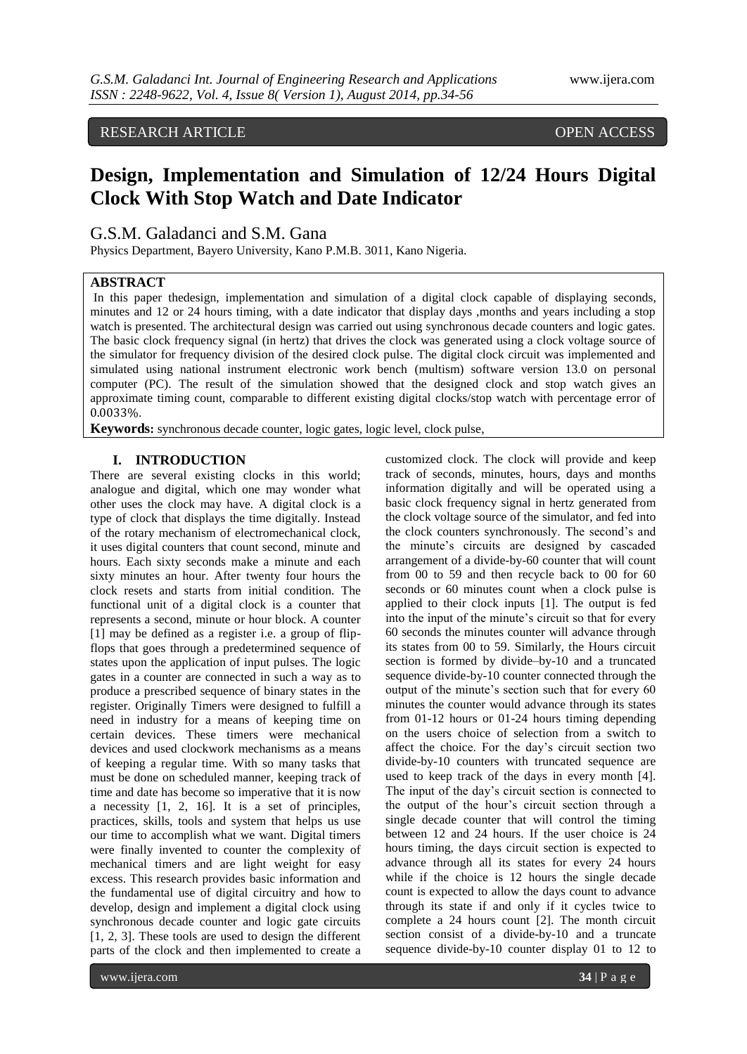# RESEARCH ARTICLE OPEN ACCESS

# **Design, Implementation and Simulation of 12/24 Hours Digital Clock With Stop Watch and Date Indicator**

# G.S.M. Galadanci and S.M. Gana

Physics Department, Bayero University, Kano P.M.B. 3011, Kano Nigeria.

## **ABSTRACT**

In this paper thedesign, implementation and simulation of a digital clock capable of displaying seconds, minutes and 12 or 24 hours timing, with a date indicator that display days ,months and years including a stop watch is presented. The architectural design was carried out using synchronous decade counters and logic gates. The basic clock frequency signal (in hertz) that drives the clock was generated using a clock voltage source of the simulator for frequency division of the desired clock pulse. The digital clock circuit was implemented and simulated using national instrument electronic work bench (multism) software version 13.0 on personal computer (PC). The result of the simulation showed that the designed clock and stop watch gives an approximate timing count, comparable to different existing digital clocks/stop watch with percentage error of 0.0033%.

**Keywords:** synchronous decade counter, logic gates, logic level, clock pulse,

#### **I. INTRODUCTION**

There are several existing clocks in this world; analogue and digital, which one may wonder what other uses the clock may have. A digital clock is a type of clock that displays the time digitally. Instead of the rotary mechanism of electromechanical clock, it uses digital counters that count second, minute and hours. Each sixty seconds make a minute and each sixty minutes an hour. After twenty four hours the clock resets and starts from initial condition. The functional unit of a digital clock is a counter that represents a second, minute or hour block. A counter [1] may be defined as a register i.e. a group of flipflops that goes through a predetermined sequence of states upon the application of input pulses. The logic gates in a counter are connected in such a way as to produce a prescribed sequence of binary states in the register. Originally Timers were designed to fulfill a need in industry for a means of keeping time on certain devices. These timers were mechanical devices and used clockwork mechanisms as a means of keeping a regular time. With so many tasks that must be done on scheduled manner, keeping track of time and date has become so imperative that it is now a necessity [1, 2, 16]. It is a set of principles, practices, skills, tools and system that helps us use our time to accomplish what we want. Digital timers were finally invented to counter the complexity of mechanical timers and are light weight for easy excess. This research provides basic information and the fundamental use of digital circuitry and how to develop, design and implement a digital clock using synchronous decade counter and logic gate circuits [1, 2, 3]. These tools are used to design the different parts of the clock and then implemented to create a

customized clock. The clock will provide and keep track of seconds, minutes, hours, days and months information digitally and will be operated using a basic clock frequency signal in hertz generated from the clock voltage source of the simulator, and fed into the clock counters synchronously. The second's and the minute's circuits are designed by cascaded arrangement of a divide-by-60 counter that will count from 00 to 59 and then recycle back to 00 for 60 seconds or 60 minutes count when a clock pulse is applied to their clock inputs [1]. The output is fed into the input of the minute's circuit so that for every 60 seconds the minutes counter will advance through its states from 00 to 59. Similarly, the Hours circuit section is formed by divide–by-10 and a truncated sequence divide-by-10 counter connected through the output of the minute's section such that for every 60 minutes the counter would advance through its states from 01-12 hours or 01-24 hours timing depending on the users choice of selection from a switch to affect the choice. For the day's circuit section two divide-by-10 counters with truncated sequence are used to keep track of the days in every month [4]. The input of the day's circuit section is connected to the output of the hour's circuit section through a single decade counter that will control the timing between 12 and 24 hours. If the user choice is 24 hours timing, the days circuit section is expected to advance through all its states for every 24 hours while if the choice is 12 hours the single decade count is expected to allow the days count to advance through its state if and only if it cycles twice to complete a 24 hours count [2]. The month circuit section consist of a divide-by-10 and a truncate sequence divide-by-10 counter display 01 to 12 to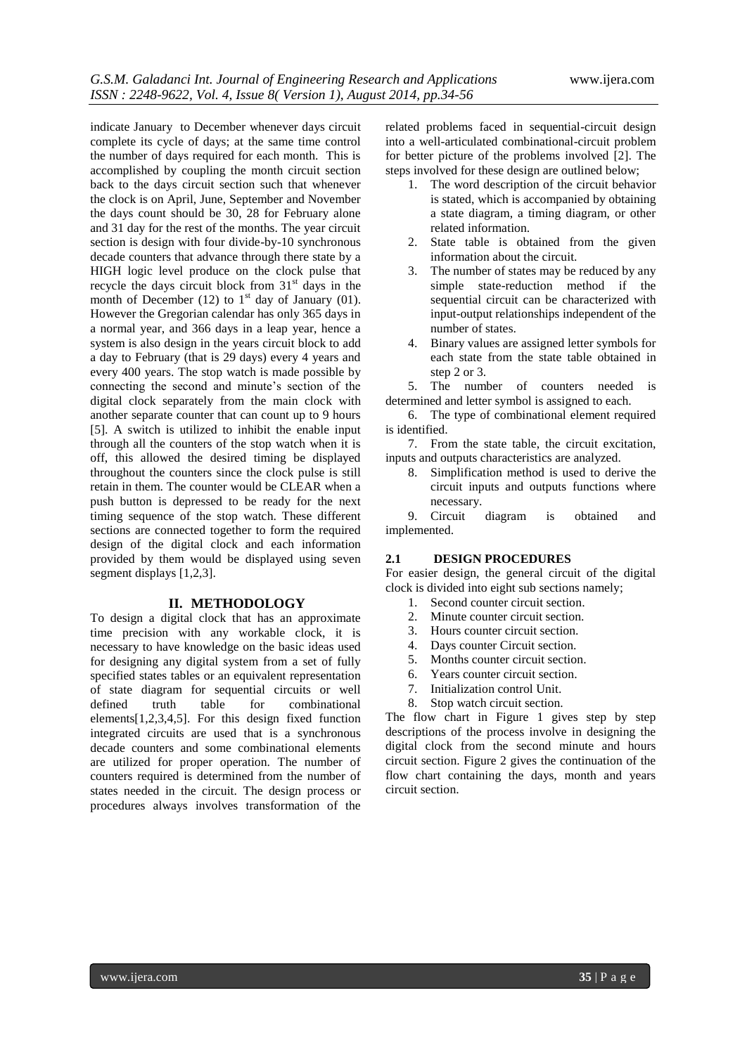indicate January to December whenever days circuit complete its cycle of days; at the same time control the number of days required for each month. This is accomplished by coupling the month circuit section back to the days circuit section such that whenever the clock is on April, June, September and November the days count should be 30, 28 for February alone and 31 day for the rest of the months. The year circuit section is design with four divide-by-10 synchronous decade counters that advance through there state by a HIGH logic level produce on the clock pulse that recycle the days circuit block from  $31<sup>st</sup>$  days in the month of December (12) to  $1<sup>st</sup>$  day of January (01). However the Gregorian calendar has only 365 days in a normal year, and 366 days in a leap year, hence a system is also design in the years circuit block to add a day to February (that is 29 days) every 4 years and every 400 years. The stop watch is made possible by connecting the second and minute's section of the digital clock separately from the main clock with another separate counter that can count up to 9 hours [5]. A switch is utilized to inhibit the enable input through all the counters of the stop watch when it is off, this allowed the desired timing be displayed throughout the counters since the clock pulse is still retain in them. The counter would be CLEAR when a push button is depressed to be ready for the next timing sequence of the stop watch. These different sections are connected together to form the required design of the digital clock and each information provided by them would be displayed using seven segment displays [1,2,3].

#### **II. METHODOLOGY**

To design a digital clock that has an approximate time precision with any workable clock, it is necessary to have knowledge on the basic ideas used for designing any digital system from a set of fully specified states tables or an equivalent representation of state diagram for sequential circuits or well defined truth table for combinational elements[1,2,3,4,5]. For this design fixed function integrated circuits are used that is a synchronous decade counters and some combinational elements are utilized for proper operation. The number of counters required is determined from the number of states needed in the circuit. The design process or procedures always involves transformation of the

related problems faced in sequential-circuit design into a well-articulated combinational-circuit problem for better picture of the problems involved [2]. The steps involved for these design are outlined below;

- 1. The word description of the circuit behavior is stated, which is accompanied by obtaining a state diagram, a timing diagram, or other related information.
- 2. State table is obtained from the given information about the circuit.
- 3. The number of states may be reduced by any simple state-reduction method if the sequential circuit can be characterized with input-output relationships independent of the number of states.
- 4. Binary values are assigned letter symbols for each state from the state table obtained in step 2 or 3.

5. The number of counters needed is determined and letter symbol is assigned to each.

6. The type of combinational element required is identified.

7. From the state table, the circuit excitation, inputs and outputs characteristics are analyzed.

8. Simplification method is used to derive the circuit inputs and outputs functions where necessary.

9. Circuit diagram is obtained and implemented.

#### **2.1 DESIGN PROCEDURES**

For easier design, the general circuit of the digital clock is divided into eight sub sections namely;

- 1. Second counter circuit section.
- 2. Minute counter circuit section.
- 3. Hours counter circuit section.
- 4. Days counter Circuit section.
- 5. Months counter circuit section.
- 6. Years counter circuit section.
- 7. Initialization control Unit.
- 8. Stop watch circuit section.

The flow chart in Figure 1 gives step by step descriptions of the process involve in designing the digital clock from the second minute and hours circuit section. Figure 2 gives the continuation of the flow chart containing the days, month and years circuit section.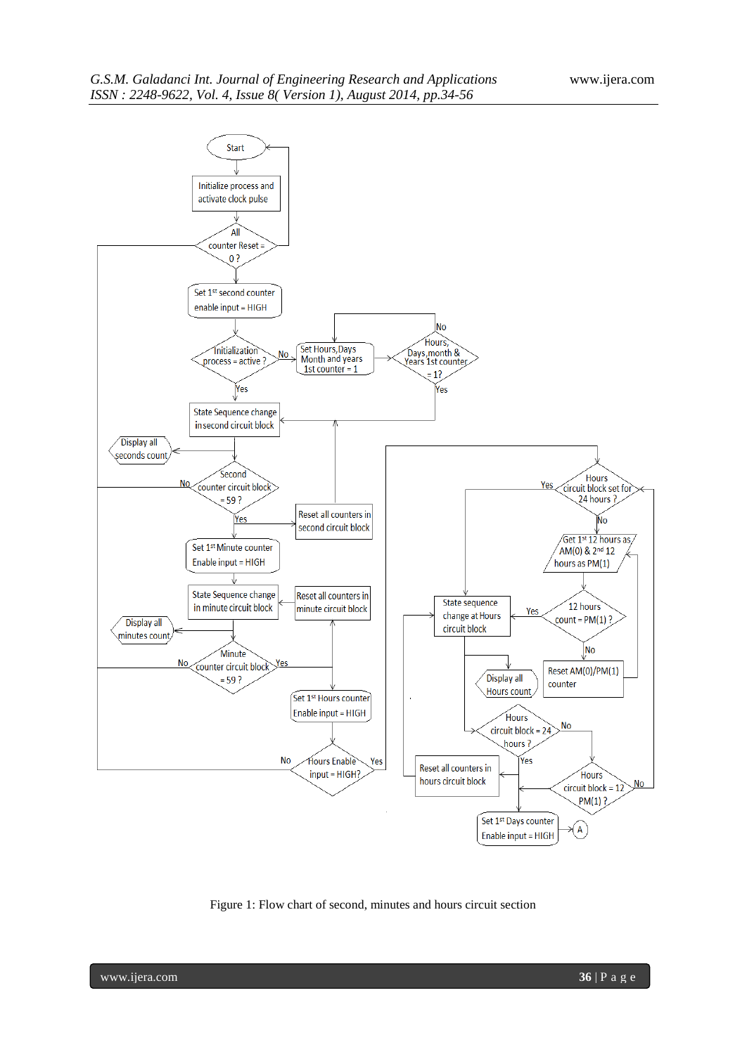

Figure 1: Flow chart of second, minutes and hours circuit section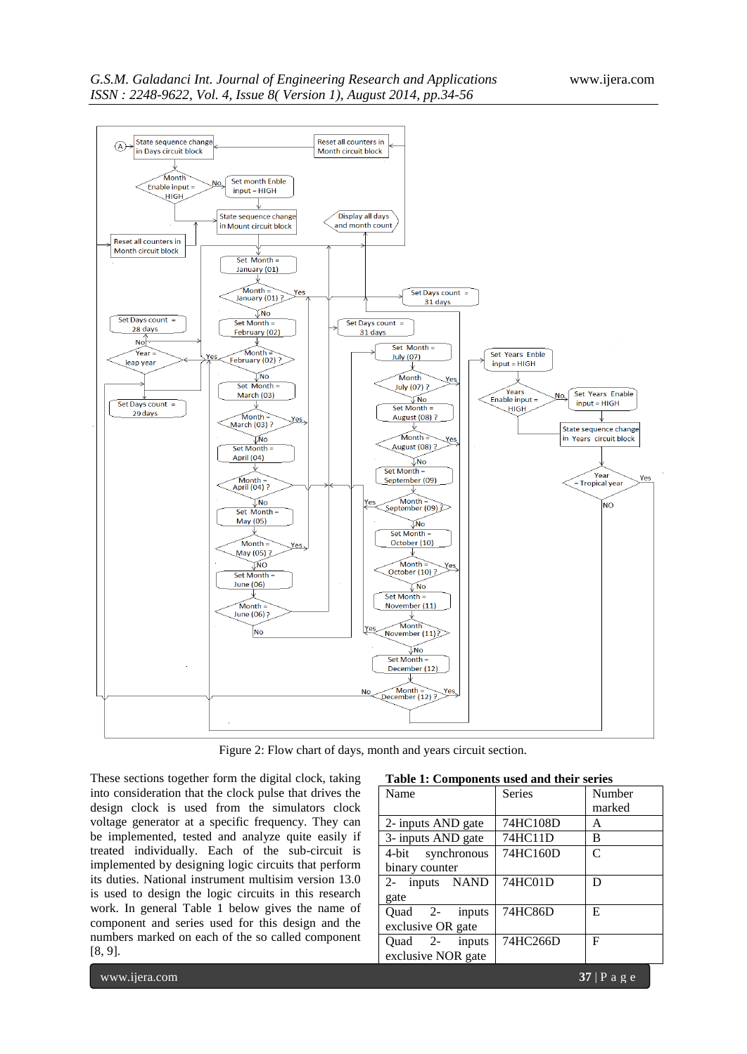

Figure 2: Flow chart of days, month and years circuit section.

These sections together form the digital clock, taking into consideration that the clock pulse that drives the design clock is used from the simulators clock voltage generator at a specific frequency. They can be implemented, tested and analyze quite easily if treated individually. Each of the sub-circuit is implemented by designing logic circuits that perform its duties. National instrument multisim version 13.0 is used to design the logic circuits in this research work. In general Table 1 below gives the name of component and series used for this design and the numbers marked on each of the so called component [8, 9].

| Name               | Series   | Number                      |
|--------------------|----------|-----------------------------|
|                    |          | marked                      |
| 2- inputs AND gate | 74HC108D | А                           |
| 3- inputs AND gate | 74HC11D  | в                           |
| 4-bit synchronous  | 74HC160D | $\mathcal{C}_{\mathcal{C}}$ |
| binary counter     |          |                             |
| 2- inputs NAND     | 74HC01D  | D                           |
| gate               |          |                             |
| inputs<br>Ouad 2-  | 74HC86D  | E                           |
| exclusive OR gate  |          |                             |
| Quad 2- inputs     | 74HC266D | F                           |
| exclusive NOR gate |          |                             |
|                    |          |                             |

|  | Table 1: Components used and their series |  |  |
|--|-------------------------------------------|--|--|
|--|-------------------------------------------|--|--|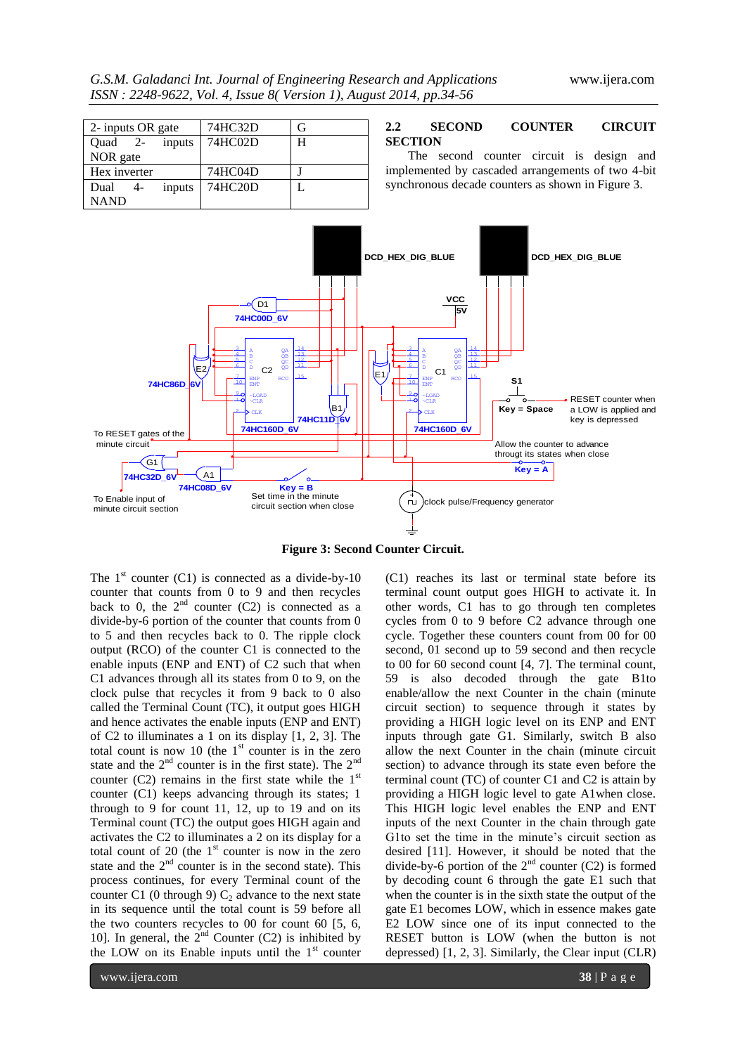*G.S.M. Galadanci Int. Journal of Engineering Research and Applications* www.ijera.com *ISSN : 2248-9622, Vol. 4, Issue 8( Version 1), August 2014, pp.34-56*

| 2- inputs OR gate | 74HC32D | (÷ |
|-------------------|---------|----|
| Ouad 2-<br>inputs | 74HC02D | H  |
| NOR gate          |         |    |
| Hex inverter      | 74HC04D |    |
| Dual<br>inputs    | 74HC20D |    |
| <b>NAND</b>       |         |    |

#### **2.2 SECOND COUNTER CIRCUIT SECTION**

The second counter circuit is design and implemented by cascaded arrangements of two 4-bit synchronous decade counters as shown in Figure 3.



**Figure 3: Second Counter Circuit.**

The  $1<sup>st</sup>$  counter (C1) is connected as a divide-by-10 counter that counts from 0 to 9 and then recycles back to 0, the  $2<sup>nd</sup>$  counter (C2) is connected as a divide-by-6 portion of the counter that counts from 0 to 5 and then recycles back to 0. The ripple clock output (RCO) of the counter C1 is connected to the enable inputs (ENP and ENT) of C2 such that when C1 advances through all its states from 0 to 9, on the clock pulse that recycles it from 9 back to 0 also called the Terminal Count (TC), it output goes HIGH and hence activates the enable inputs (ENP and ENT) of C2 to illuminates a 1 on its display [1, 2, 3]. The total count is now 10 (the  $1<sup>st</sup>$  counter is in the zero state and the  $2<sup>nd</sup>$  counter is in the first state). The  $2<sup>nd</sup>$ counter (C2) remains in the first state while the  $1<sup>st</sup>$ counter (C1) keeps advancing through its states; 1 through to 9 for count 11, 12, up to 19 and on its Terminal count (TC) the output goes HIGH again and activates the C2 to illuminates a 2 on its display for a total count of  $20$  (the  $1<sup>st</sup>$  counter is now in the zero state and the  $2<sup>nd</sup>$  counter is in the second state). This process continues, for every Terminal count of the counter C1 (0 through 9)  $C_2$  advance to the next state in its sequence until the total count is 59 before all the two counters recycles to 00 for count 60 [5, 6, 10]. In general, the  $2^{nd}$  Counter (C2) is inhibited by the LOW on its Enable inputs until the  $1<sup>st</sup>$  counter

(C1) reaches its last or terminal state before its terminal count output goes HIGH to activate it. In other words, C1 has to go through ten completes cycles from 0 to 9 before C2 advance through one cycle. Together these counters count from 00 for 00 second, 01 second up to 59 second and then recycle to 00 for 60 second count [4, 7]. The terminal count, 59 is also decoded through the gate B1to enable/allow the next Counter in the chain (minute circuit section) to sequence through it states by providing a HIGH logic level on its ENP and ENT inputs through gate G1. Similarly, switch B also allow the next Counter in the chain (minute circuit section) to advance through its state even before the terminal count (TC) of counter C1 and C2 is attain by providing a HIGH logic level to gate A1when close. This HIGH logic level enables the ENP and ENT inputs of the next Counter in the chain through gate G1to set the time in the minute's circuit section as desired [11]. However, it should be noted that the divide-by-6 portion of the  $2<sup>nd</sup>$  counter (C2) is formed by decoding count 6 through the gate E1 such that when the counter is in the sixth state the output of the gate E1 becomes LOW, which in essence makes gate E2 LOW since one of its input connected to the RESET button is LOW (when the button is not depressed) [1, 2, 3]. Similarly, the Clear input (CLR)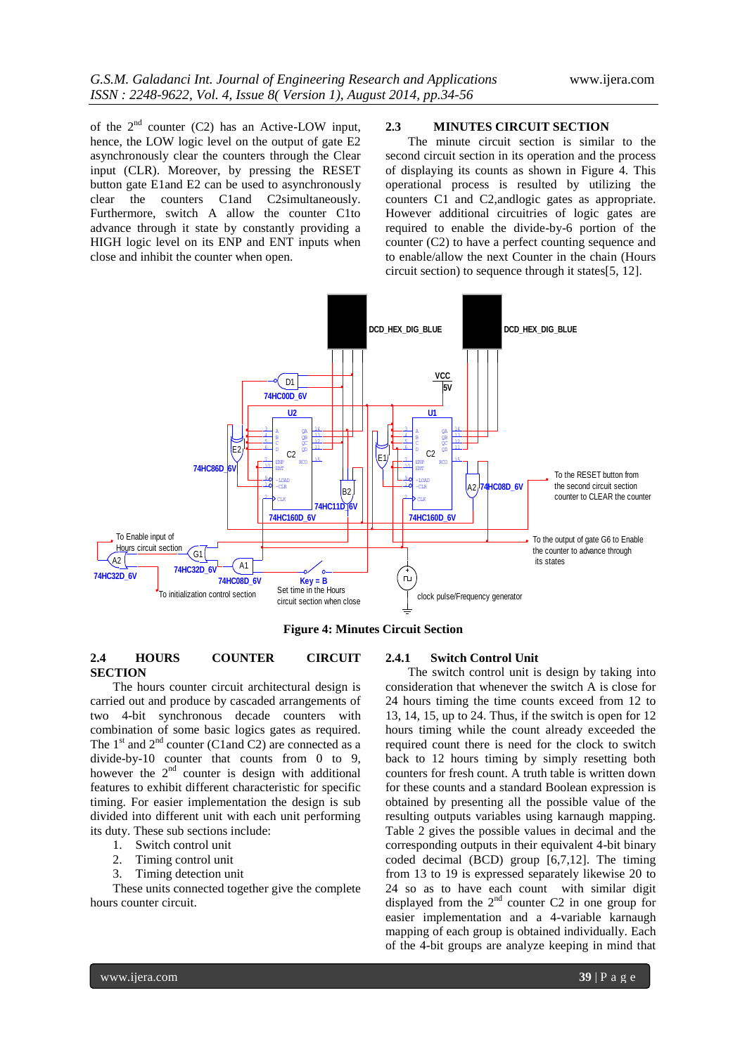of the  $2<sup>nd</sup>$  counter (C2) has an Active-LOW input, hence, the LOW logic level on the output of gate E2 asynchronously clear the counters through the Clear input (CLR). Moreover, by pressing the RESET button gate E1and E2 can be used to asynchronously clear the counters C1and C2simultaneously. Furthermore, switch A allow the counter C1to advance through it state by constantly providing a HIGH logic level on its ENP and ENT inputs when close and inhibit the counter when open.

## **2.3 MINUTES CIRCUIT SECTION**

The minute circuit section is similar to the second circuit section in its operation and the process of displaying its counts as shown in Figure 4. This operational process is resulted by utilizing the counters C1 and C2,andlogic gates as appropriate. However additional circuitries of logic gates are required to enable the divide-by-6 portion of the counter (C2) to have a perfect counting sequence and to enable/allow the next Counter in the chain (Hours circuit section) to sequence through it states[5, 12].



**Figure 4: Minutes Circuit Section** 

## **2.4 HOURS COUNTER CIRCUIT SECTION**

The hours counter circuit architectural design is carried out and produce by cascaded arrangements of two 4-bit synchronous decade counters with combination of some basic logics gates as required. The  $1<sup>st</sup>$  and  $2<sup>nd</sup>$  counter (C1and C2) are connected as a divide-by-10 counter that counts from 0 to 9, however the  $2<sup>nd</sup>$  counter is design with additional features to exhibit different characteristic for specific timing. For easier implementation the design is sub divided into different unit with each unit performing its duty. These sub sections include:

- 1. Switch control unit
- 2. Timing control unit
- 3. Timing detection unit

These units connected together give the complete hours counter circuit.

#### **2.4.1 Switch Control Unit**

The switch control unit is design by taking into consideration that whenever the switch A is close for 24 hours timing the time counts exceed from 12 to 13, 14, 15, up to 24. Thus, if the switch is open for 12 hours timing while the count already exceeded the required count there is need for the clock to switch back to 12 hours timing by simply resetting both counters for fresh count. A truth table is written down for these counts and a standard Boolean expression is obtained by presenting all the possible value of the resulting outputs variables using karnaugh mapping. Table 2 gives the possible values in decimal and the corresponding outputs in their equivalent 4-bit binary coded decimal (BCD) group [6,7,12]. The timing from 13 to 19 is expressed separately likewise 20 to 24 so as to have each count with similar digit displayed from the  $2^{nd}$  counter C2 in one group for easier implementation and a 4-variable karnaugh mapping of each group is obtained individually. Each of the 4-bit groups are analyze keeping in mind that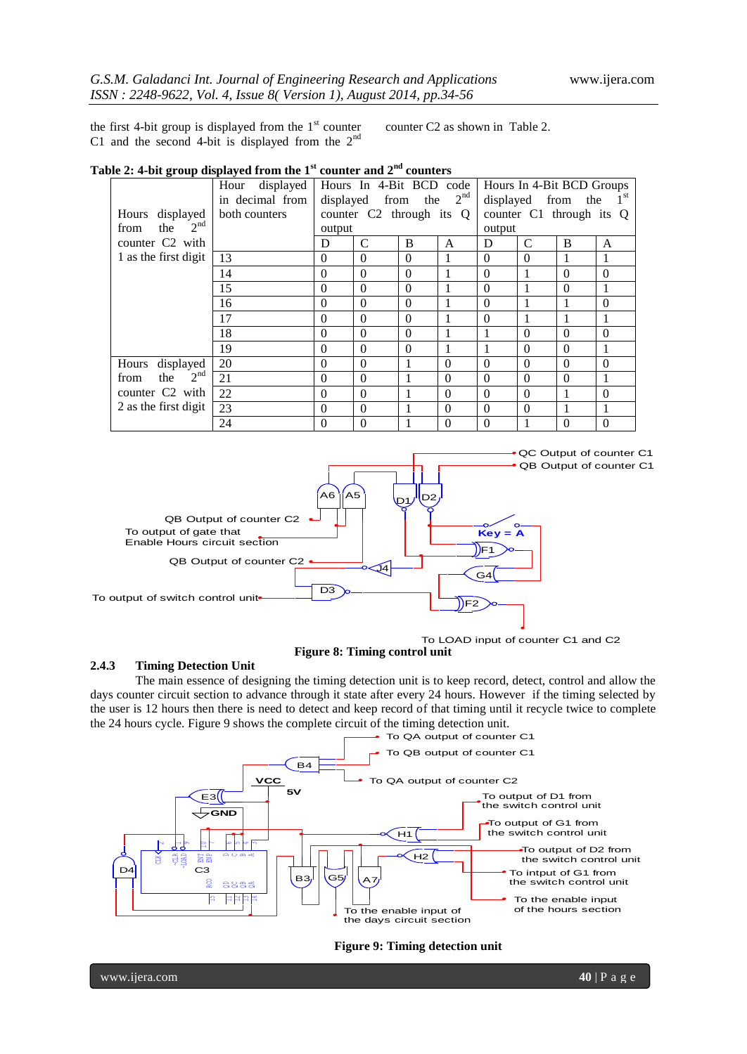the first 4-bit group is displayed from the  $1<sup>st</sup>$  counter C1 and the second 4-bit is displayed from the  $2^{nc}$ 

counter C2 as shown in Table 2.

# **Table 2: 4-bit group displayed from the 1st counter and 2nd counters**

|                                | displayed<br>Hour |           | Hours In 4-Bit BCD code  |          |                 |              | Hours In 4-Bit BCD Groups |             |                |
|--------------------------------|-------------------|-----------|--------------------------|----------|-----------------|--------------|---------------------------|-------------|----------------|
|                                | in decimal from   | displayed | from                     | the      | 2 <sup>nd</sup> | displayed    |                           | from<br>the |                |
| Hours displayed                | both counters     |           | counter C2 through its Q |          |                 |              | counter C1 through its Q  |             |                |
| 2 <sup>nd</sup><br>the<br>from |                   | output    |                          |          |                 | output       |                           |             |                |
| counter C <sub>2</sub> with    |                   | D         | C                        | B        | A               | D            | $\mathcal{C}$             | B           | A              |
| 1 as the first digit           | 13                | $\Omega$  | $\Omega$                 | $\Omega$ |                 | $\Omega$     | $\Omega$                  |             | 1              |
|                                | 14                | $\theta$  | $\Omega$                 | $\Omega$ |                 | $\theta$     |                           | $\Omega$    | $\Omega$       |
|                                | 15                | $\theta$  | $\Omega$                 | $\Omega$ |                 | $\Omega$     |                           | $\Omega$    |                |
|                                | 16                | $\theta$  | $\Omega$                 | $\Omega$ |                 | $\Omega$     |                           |             | $\theta$       |
|                                | 17                | $\theta$  | $\Omega$                 | $\Omega$ |                 | $\Omega$     |                           |             |                |
|                                | 18                | $\theta$  | $\Omega$                 | $\Omega$ |                 |              | $\Omega$                  | $\Omega$    | $\Omega$       |
|                                | 19                | $\theta$  | $\Omega$                 | $\Omega$ |                 |              | $\Omega$                  | $\Omega$    |                |
| displayed<br>Hours             | 20                | $\Omega$  | $\Omega$                 | 1        | $\theta$        | $\Omega$     | $\Omega$                  | $\Omega$    | $\Omega$       |
| 2 <sup>nd</sup><br>the<br>from | 21                | $\theta$  | $\Omega$                 | 1        | $\Omega$        | $\Omega$     | $\Omega$                  | $\Omega$    |                |
| counter C <sub>2</sub> with    | 22                | $\theta$  | $\Omega$                 | 1        | $\Omega$        | $\Omega$     | $\Omega$                  |             | $\theta$       |
| 2 as the first digit           | 23                | $\theta$  | $\Omega$                 | 1        | $\theta$        | $\Omega$     | $\theta$                  |             | 1              |
|                                | 24                | $\theta$  | $\Omega$                 | 1        | $\theta$        | $\mathbf{0}$ |                           | $\Omega$    | $\overline{0}$ |



**Figure 8: Timing control unit** To LOAD input of counter C1 and C2

#### **2.4.3 Timing Detection Unit**

The main essence of designing the timing detection unit is to keep record, detect, control and allow the days counter circuit section to advance through it state after every 24 hours. However if the timing selected by the user is 12 hours then there is need to detect and keep record of that timing until it recycle twice to complete the 24 hours cycle. Figure 9 shows the complete circuit of the timing detection unit.



**Figure 9: Timing detection unit**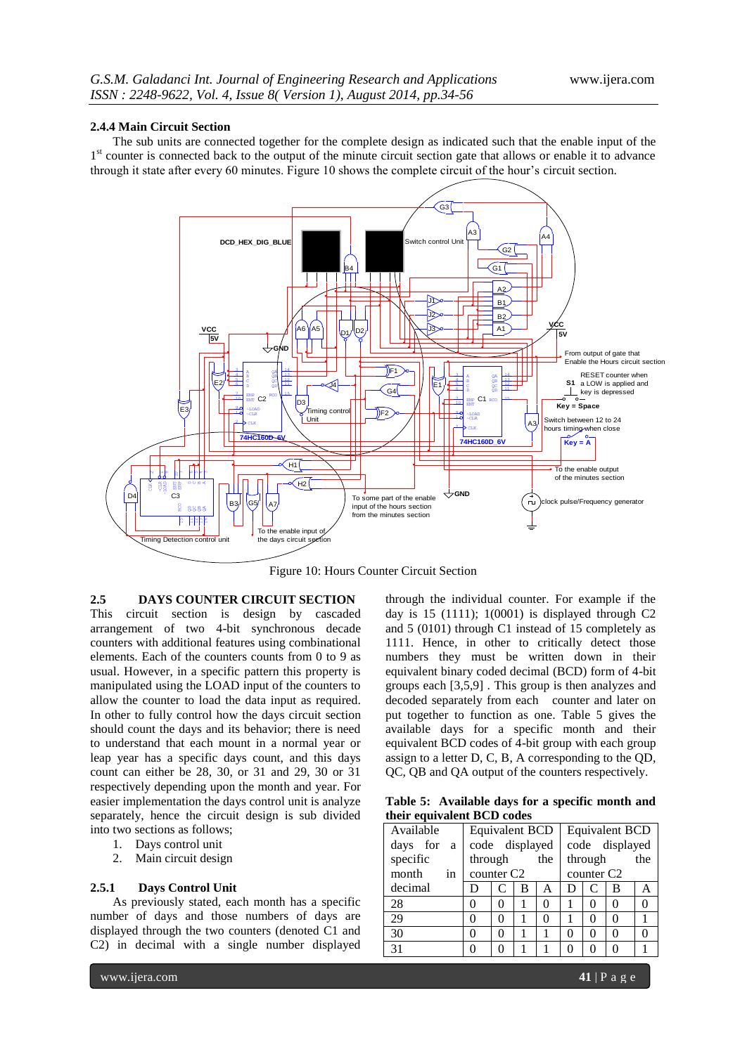#### **2.4.4 Main Circuit Section**

The sub units are connected together for the complete design as indicated such that the enable input of the 1<sup>st</sup> counter is connected back to the output of the minute circuit section gate that allows or enable it to advance through it state after every 60 minutes. Figure 10 shows the complete circuit of the hour's circuit section.



Figure 10: Hours Counter Circuit Section

# **2.5 DAYS COUNTER CIRCUIT SECTION**

This circuit section is design by cascaded arrangement of two 4-bit synchronous decade counters with additional features using combinational elements. Each of the counters counts from 0 to 9 as usual. However, in a specific pattern this property is manipulated using the LOAD input of the counters to allow the counter to load the data input as required. In other to fully control how the days circuit section should count the days and its behavior; there is need to understand that each mount in a normal year or leap year has a specific days count, and this days count can either be 28, 30, or 31 and 29, 30 or 31 respectively depending upon the month and year. For easier implementation the days control unit is analyze separately, hence the circuit design is sub divided into two sections as follows;

- 1. Days control unit
- 2. Main circuit design

#### **2.5.1 Days Control Unit**

As previously stated, each month has a specific number of days and those numbers of days are displayed through the two counters (denoted C1 and C2) in decimal with a single number displayed

through the individual counter. For example if the day is  $15$  (1111); 1(0001) is displayed through C2 and 5 (0101) through C1 instead of 15 completely as 1111. Hence, in other to critically detect those numbers they must be written down in their equivalent binary coded decimal (BCD) form of 4-bit groups each [3,5,9] . This group is then analyzes and decoded separately from each counter and later on put together to function as one. Table 5 gives the available days for a specific month and their equivalent BCD codes of 4-bit group with each group assign to a letter D, C, B, A corresponding to the QD, QC, QB and QA output of the counters respectively.

**Table 5: Available days for a specific month and their equivalent BCD codes**

| Available                | <b>Equivalent BCD</b> |                |   | <b>Equivalent BCD</b> |                |                        |   |  |
|--------------------------|-----------------------|----------------|---|-----------------------|----------------|------------------------|---|--|
| days for<br><sub>a</sub> | code displayed        |                |   |                       | code displayed |                        |   |  |
| specific                 |                       | through<br>the |   |                       |                | through<br>the         |   |  |
| month<br>in              |                       | counter $C2$   |   |                       |                | counter C <sub>2</sub> |   |  |
| decimal                  | D                     | C              | B | А                     | D              | C                      | в |  |
| 28                       | 0                     | 0              |   | 0                     |                |                        |   |  |
| 29                       | 0                     | 0              |   | 0                     |                |                        |   |  |
| 30                       | 0                     | 0              |   |                       |                |                        |   |  |
| 31                       |                       |                |   |                       |                |                        |   |  |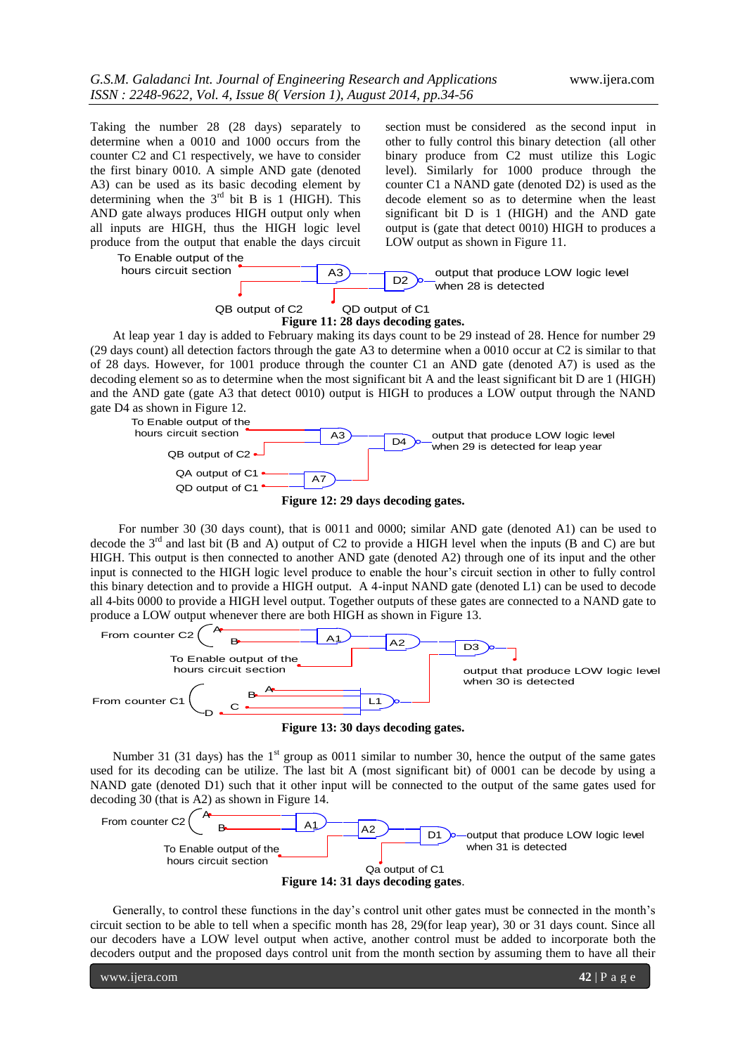Taking the number 28 (28 days) separately to determine when a 0010 and 1000 occurs from the counter C2 and C1 respectively, we have to consider the first binary 0010. A simple AND gate (denoted A3) can be used as its basic decoding element by determining when the  $3<sup>rd</sup>$  bit B is 1 (HIGH). This AND gate always produces HIGH output only when all inputs are HIGH, thus the HIGH logic level produce from the output that enable the days circuit

section must be considered as the second input in other to fully control this binary detection (all other binary produce from C2 must utilize this Logic level). Similarly for 1000 produce through the counter C1 a NAND gate (denoted D2) is used as the decode element so as to determine when the least significant bit D is 1 (HIGH) and the AND gate output is (gate that detect 0010) HIGH to produces a LOW output as shown in Figure 11.

To Enable output of the hours circuit section



At leap year 1 day is added to February making its days count to be 29 instead of 28. Hence for number 29 (29 days count) all detection factors through the gate A3 to determine when a 0010 occur at C2 is similar to that of 28 days. However, for 1001 produce through the counter C1 an AND gate (denoted A7) is used as the decoding element so as to determine when the most significant bit A and the least significant bit D are 1 (HIGH) and the AND gate (gate A3 that detect 0010) output is HIGH to produces a LOW output through the NAND gate D4 as shown in Figure 12.



For number 30 (30 days count), that is 0011 and 0000; similar AND gate (denoted A1) can be used to decode the 3rd and last bit (B and A) output of C2 to provide a HIGH level when the inputs (B and C) are but HIGH. This output is then connected to another AND gate (denoted A2) through one of its input and the other input is connected to the HIGH logic level produce to enable the hour's circuit section in other to fully control this binary detection and to provide a HIGH output. A 4-input NAND gate (denoted L1) can be used to decode all 4-bits 0000 to provide a HIGH level output. Together outputs of these gates are connected to a NAND gate to produce a LOW output whenever there are both HIGH as shown in Figure 13.



**Figure 13: 30 days decoding gates.**

Number 31 (31 days) has the  $1<sup>st</sup>$  group as 0011 similar to number 30, hence the output of the same gates used for its decoding can be utilize. The last bit A (most significant bit) of 0001 can be decode by using a NAND gate (denoted D1) such that it other input will be connected to the output of the same gates used for decoding 30 (that is A2) as shown in Figure 14.



Generally, to control these functions in the day's control unit other gates must be connected in the month's circuit section to be able to tell when a specific month has 28, 29(for leap year), 30 or 31 days count. Since all our decoders have a LOW level output when active, another control must be added to incorporate both the decoders output and the proposed days control unit from the month section by assuming them to have all their

www.ijera.com **42** | P a g e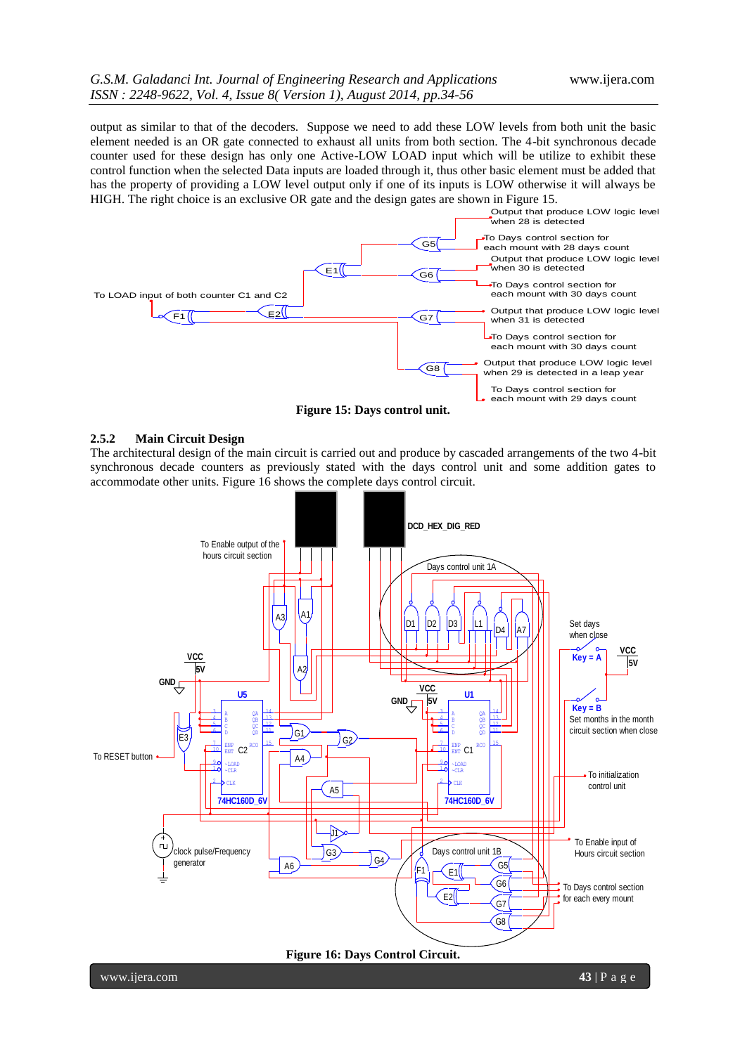output as similar to that of the decoders. Suppose we need to add these LOW levels from both unit the basic element needed is an OR gate connected to exhaust all units from both section. The 4-bit synchronous decade counter used for these design has only one Active-LOW LOAD input which will be utilize to exhibit these control function when the selected Data inputs are loaded through it, thus other basic element must be added that has the property of providing a LOW level output only if one of its inputs is LOW otherwise it will always be HIGH. The right choice is an exclusive OR gate and the design gates are shown in Figure 15.



**Figure 15: Days control unit.**

#### **2.5.2 Main Circuit Design**

The architectural design of the main circuit is carried out and produce by cascaded arrangements of the two 4-bit synchronous decade counters as previously stated with the days control unit and some addition gates to accommodate other units. Figure 16 shows the complete days control circuit.



www.ijera.com **43** | P a g e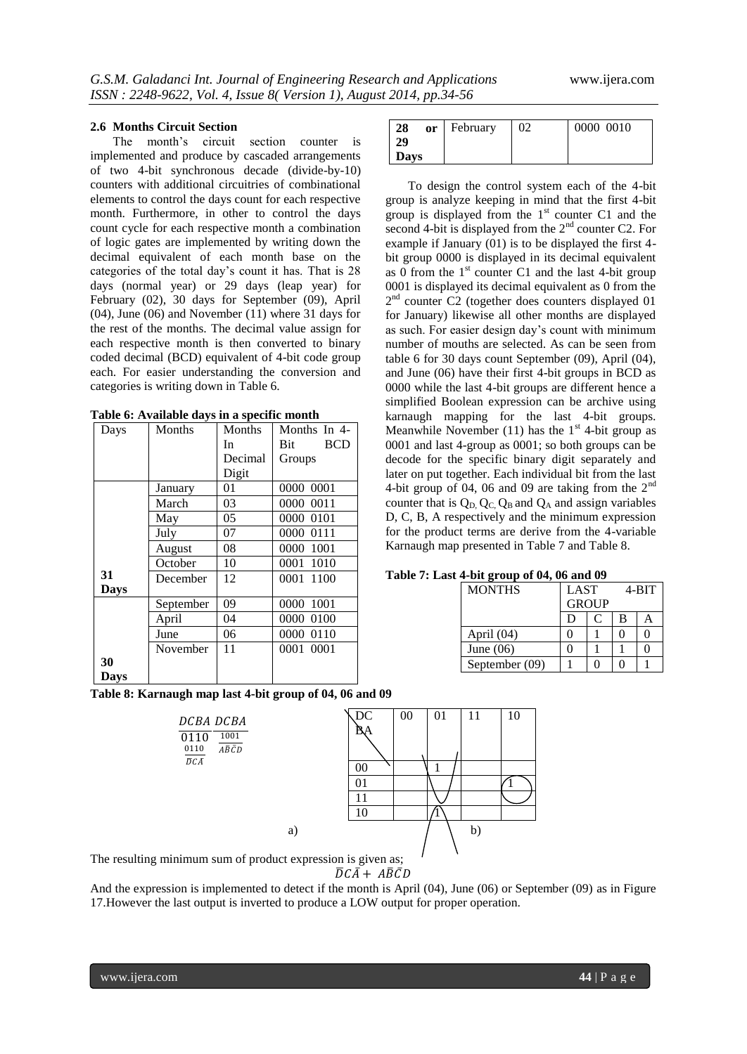#### **2.6 Months Circuit Section**

The month's circuit section counter is implemented and produce by cascaded arrangements of two 4-bit synchronous decade (divide-by-10) counters with additional circuitries of combinational elements to control the days count for each respective month. Furthermore, in other to control the days count cycle for each respective month a combination of logic gates are implemented by writing down the decimal equivalent of each month base on the categories of the total day's count it has. That is 28 days (normal year) or 29 days (leap year) for February (02), 30 days for September (09), April (04), June (06) and November (11) where 31 days for the rest of the months. The decimal value assign for each respective month is then converted to binary coded decimal (BCD) equivalent of 4-bit code group each. For easier understanding the conversion and categories is writing down in Table 6.

| Days        | Months    | Months  | Months In 4-      |
|-------------|-----------|---------|-------------------|
|             |           | In      | Bit<br><b>BCD</b> |
|             |           | Decimal | Groups            |
|             |           | Digit   |                   |
|             | January   | 01      | 0000 0001         |
|             | March     | 03      | 0000 0011         |
|             | May       | 05      | 0000 0101         |
|             | July      | 07      | 0000 0111         |
|             | August    | 08      | 0000 1001         |
|             | October   | 10      | 0001 1010         |
| 31          | December  | 12      | 0001 1100         |
| <b>Days</b> |           |         |                   |
|             | September | 09      | 0000 1001         |
|             | April     | 04      | 0000 0100         |
|             | June      | 06      | 0000 0110         |
|             | November  | 11      | 0001 0001         |
| 30          |           |         |                   |
| Davs        |           |         |                   |

**Table 6: Available days in a specific month**

|  |  |  |  | Table 8: Karnaugh map last 4-bit group of 04, 06 and 09 |  |  |  |  |  |  |
|--|--|--|--|---------------------------------------------------------|--|--|--|--|--|--|
|--|--|--|--|---------------------------------------------------------|--|--|--|--|--|--|

| DCBA DCBA<br>1001<br>0110<br>0110<br>$A\bar B\,\bar C D$ | DC       | 00 | 01 | 11 | 10 |
|----------------------------------------------------------|----------|----|----|----|----|
| $\bar D\, \bar A$                                        | 00       |    |    |    |    |
|                                                          | 01<br>11 |    |    |    |    |
| a)                                                       | 10       |    |    | b) |    |
| minimum sum of product expression is given as:           |          |    |    |    |    |

The resulting minimum sum of prod

 $\overline{D}C\overline{A}+A\overline{B}\overline{C}D$ 

And the expression is implemented to detect if the month is April (04), June (06) or September (09) as in Figure 17.However the last output is inverted to produce a LOW output for proper operation.

| 02<br>or February | 0000 0010 |
|-------------------|-----------|
|                   |           |
|                   |           |
|                   |           |

To design the control system each of the 4-bit group is analyze keeping in mind that the first 4-bit group is displayed from the  $1<sup>st</sup>$  counter C1 and the second 4-bit is displayed from the  $2<sup>nd</sup>$  counter C2. For example if January (01) is to be displayed the first 4 bit group 0000 is displayed in its decimal equivalent as 0 from the  $1<sup>st</sup>$  counter C1 and the last 4-bit group 0001 is displayed its decimal equivalent as 0 from the 2<sup>nd</sup> counter C2 (together does counters displayed 01 for January) likewise all other months are displayed as such. For easier design day's count with minimum number of mouths are selected. As can be seen from table 6 for 30 days count September (09), April (04), and June (06) have their first 4-bit groups in BCD as 0000 while the last 4-bit groups are different hence a simplified Boolean expression can be archive using karnaugh mapping for the last 4-bit groups. Meanwhile November (11) has the  $1<sup>st</sup>$  4-bit group as 0001 and last 4-group as 0001; so both groups can be decode for the specific binary digit separately and later on put together. Each individual bit from the last 4-bit group of 04, 06 and 09 are taking from the  $2<sup>nd</sup>$ counter that is  $Q_D$ ,  $Q_C$ ,  $Q_B$  and  $Q_A$  and assign variables D, C, B, A respectively and the minimum expression for the product terms are derive from the 4-variable Karnaugh map presented in Table 7 and Table 8.

**Table 7: Last 4-bit group of 04, 06 and 09**

| <b>MONTHS</b>  | <b>LAST</b>  |   | $4 - BIT$ |  |  |
|----------------|--------------|---|-----------|--|--|
|                | <b>GROUP</b> |   |           |  |  |
|                | D            | в |           |  |  |
| April $(04)$   |              |   |           |  |  |
| June $(06)$    |              |   |           |  |  |
| September (09) |              |   |           |  |  |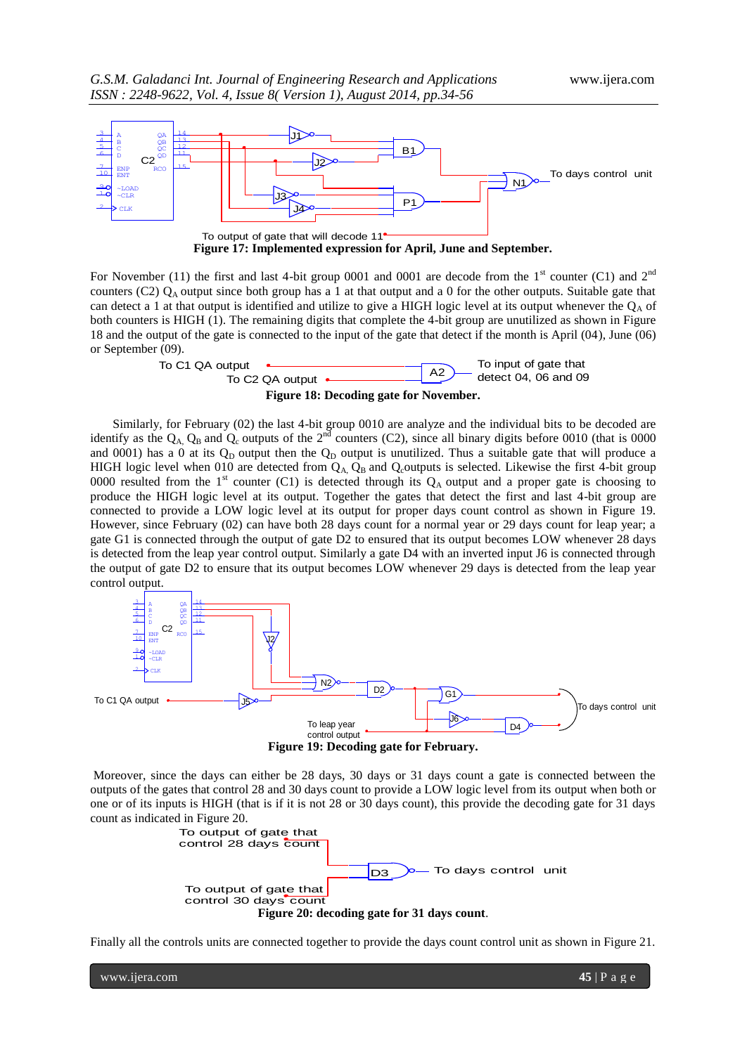

For November (11) the first and last 4-bit group 0001 and 0001 are decode from the  $1<sup>st</sup>$  counter (C1) and  $2<sup>nd</sup>$ counters (C2)  $Q_A$  output since both group has a 1 at that output and a 0 for the other outputs. Suitable gate that can detect a 1 at that output is identified and utilize to give a HIGH logic level at its output whenever the  $Q_A$  of both counters is HIGH (1). The remaining digits that complete the 4-bit group are unutilized as shown in Figure 18 and the output of the gate is connected to the input of the gate that detect if the month is April (04), June (06) or September (09).



**Figure 18: Decoding gate for November.**

Similarly, for February (02) the last 4-bit group 0010 are analyze and the individual bits to be decoded are identify as the  $Q_A$ ,  $Q_B$  and  $Q_c$  outputs of the 2<sup>nd</sup> counters (C2), since all binary digits before 0010 (that is 0000 and 0001) has a 0 at its  $Q_D$  output then the  $Q_D$  output is unutilized. Thus a suitable gate that will produce a HIGH logic level when 010 are detected from  $Q_A$ ,  $Q_B$  and  $Q_c$ outputs is selected. Likewise the first 4-bit group 0000 resulted from the 1<sup>st</sup> counter (C1) is detected through its  $Q_A$  output and a proper gate is choosing to produce the HIGH logic level at its output. Together the gates that detect the first and last 4-bit group are connected to provide a LOW logic level at its output for proper days count control as shown in Figure 19. However, since February (02) can have both 28 days count for a normal year or 29 days count for leap year; a gate G1 is connected through the output of gate D2 to ensured that its output becomes LOW whenever 28 days is detected from the leap year control output. Similarly a gate D4 with an inverted input J6 is connected through the output of gate D2 to ensure that its output becomes LOW whenever 29 days is detected from the leap year control output.



Moreover, since the days can either be 28 days, 30 days or 31 days count a gate is connected between the outputs of the gates that control 28 and 30 days count to provide a LOW logic level from its output when both or one or of its inputs is HIGH (that is if it is not 28 or 30 days count), this provide the decoding gate for 31 days count as indicated in Figure 20.



Finally all the controls units are connected together to provide the days count control unit as shown in Figure 21.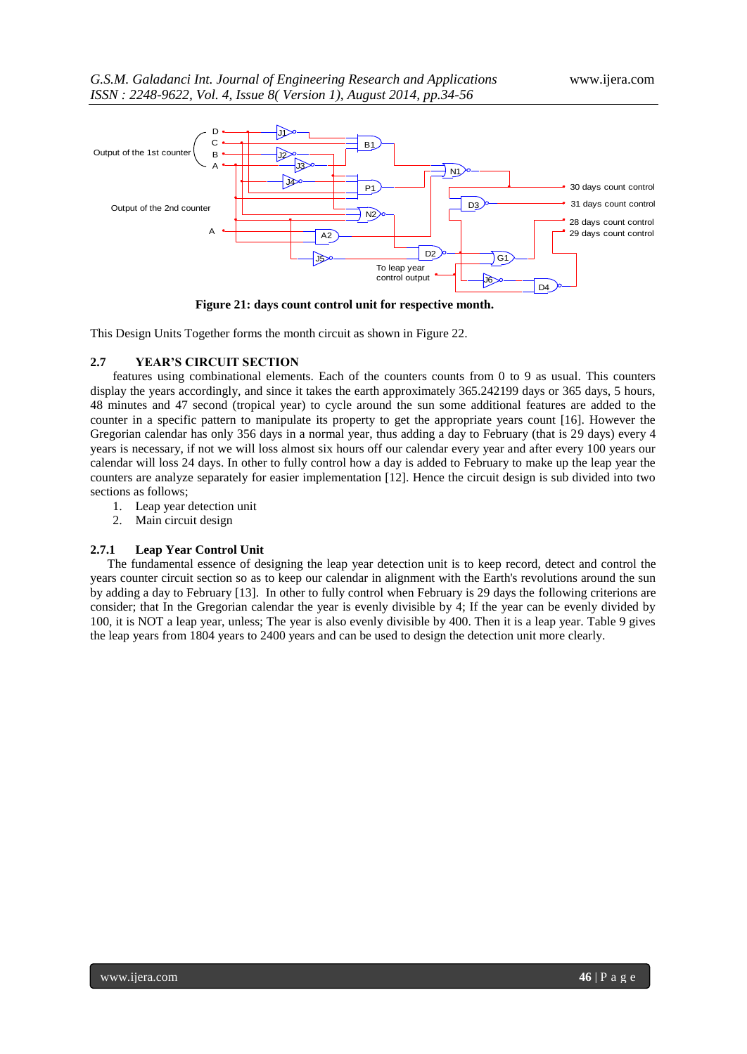

**Figure 21: days count control unit for respective month.**

This Design Units Together forms the month circuit as shown in Figure 22.

## **2.7 YEAR'S CIRCUIT SECTION**

features using combinational elements. Each of the counters counts from 0 to 9 as usual. This counters display the years accordingly, and since it takes the earth approximately 365.242199 days or 365 days, 5 hours, 48 minutes and 47 second (tropical year) to cycle around the sun some additional features are added to the counter in a specific pattern to manipulate its property to get the appropriate years count [16]. However the Gregorian calendar has only 356 days in a normal year, thus adding a day to February (that is 29 days) every 4 years is necessary, if not we will loss almost six hours off our calendar every year and after every 100 years our calendar will loss 24 days. In other to fully control how a day is added to February to make up the leap year the counters are analyze separately for easier implementation [12]. Hence the circuit design is sub divided into two sections as follows;

- 1. Leap year detection unit
- 2. Main circuit design

#### **2.7.1 Leap Year Control Unit**

The fundamental essence of designing the leap year detection unit is to keep record, detect and control the years counter circuit section so as to keep our calendar in alignment with the Earth's revolutions around the sun by adding a day to February [13]. In other to fully control when February is 29 days the following criterions are consider; that In the Gregorian calendar the year is evenly divisible by 4; If the year can be evenly divided by 100, it is NOT a leap year, unless; The year is also evenly divisible by 400. Then it is a leap year. Table 9 gives the leap years from 1804 years to 2400 years and can be used to design the detection unit more clearly.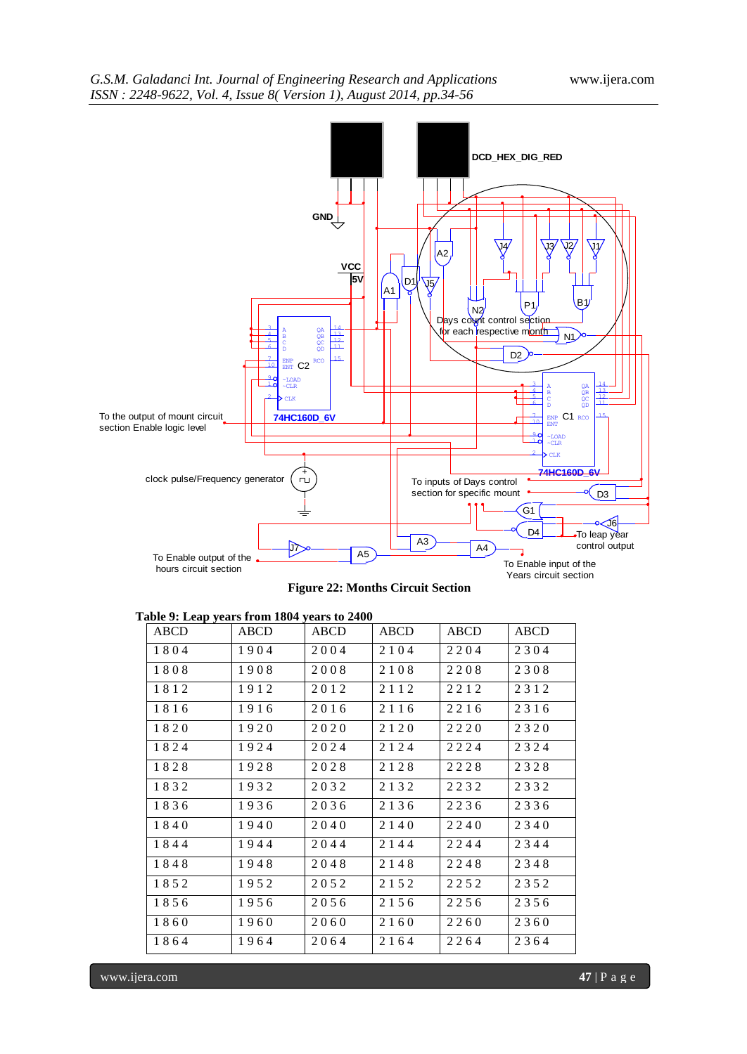

 **Figure 22: Months Circuit Section**

|  |  | Table 9: Leap years from 1804 years to 2400 |  |  |
|--|--|---------------------------------------------|--|--|
|--|--|---------------------------------------------|--|--|

| ABCD | <b>ABCD</b> | ABCD | <b>ABCD</b> | ABCD | <b>ABCD</b> |
|------|-------------|------|-------------|------|-------------|
| 1804 | 1904        | 2004 | 2 1 0 4     | 2204 | 2304        |
| 1808 | 1908        | 2008 | 2108        | 2208 | 2308        |
| 1812 | 1912        | 2012 | 2112        | 2212 | 2312        |
| 1816 | 1916        | 2016 | 2 1 1 6     | 2216 | 2316        |
| 1820 | 1920        | 2020 | 2120        | 2220 | 2320        |
| 1824 | 1924        | 2024 | 2124        | 2224 | 2324        |
| 1828 | 1928        | 2028 | 2128        | 2228 | 2328        |
| 1832 | 1932        | 2032 | 2132        | 2232 | 2332        |
| 1836 | 1936        | 2036 | 2136        | 2236 | 2336        |
| 1840 | 1940        | 2040 | 2140        | 2240 | 2340        |
| 1844 | 1944        | 2044 | 2144        | 2244 | 2344        |
| 1848 | 1948        | 2048 | 2 1 4 8     | 2248 | 2348        |
| 1852 | 1952        | 2052 | 2 1 5 2     | 2252 | 2352        |
| 1856 | 1956        | 2056 | 2156        | 2256 | 2356        |
| 1860 | 1960        | 2060 | 2160        | 2260 | 2360        |
| 1864 | 1964        | 2064 | 2164        | 2264 | 2364        |

www.ijera.com **47** | P a g e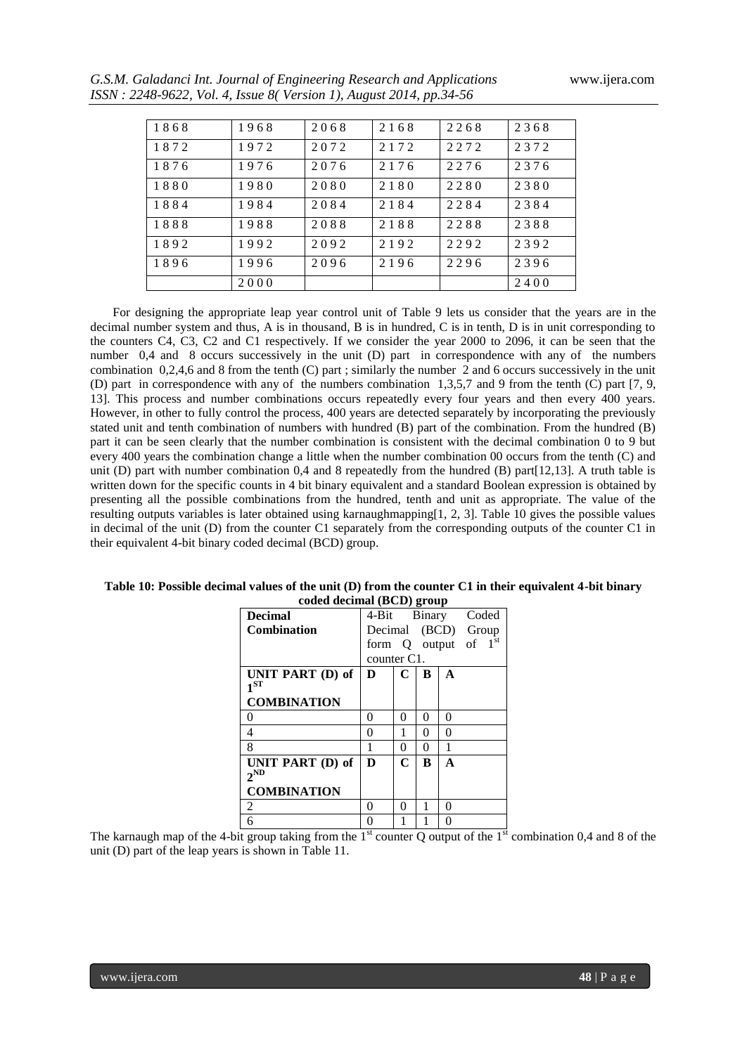|  | G.S.M. Galadanci Int. Journal of Engineering Research and Applications |
|--|------------------------------------------------------------------------|
|  | ISSN : 2248-9622, Vol. 4, Issue 8(Version 1), August 2014, pp.34-56    |

| 1868 | 1968 | 2068 | 2168 | 2268 | 2368 |
|------|------|------|------|------|------|
| 1872 | 1972 | 2072 | 2172 | 2272 | 2372 |
| 1876 | 1976 | 2076 | 2176 | 2276 | 2376 |
| 1880 | 1980 | 2080 | 2180 | 2280 | 2380 |
| 1884 | 1984 | 2084 | 2184 | 2284 | 2384 |
| 1888 | 1988 | 2088 | 2188 | 2288 | 2388 |
| 1892 | 1992 | 2092 | 2192 | 2292 | 2392 |
| 1896 | 1996 | 2096 | 2196 | 2296 | 2396 |
|      | 2000 |      |      |      | 2400 |

For designing the appropriate leap year control unit of Table 9 lets us consider that the years are in the decimal number system and thus, A is in thousand, B is in hundred, C is in tenth, D is in unit corresponding to the counters C4, C3, C2 and C1 respectively. If we consider the year 2000 to 2096, it can be seen that the number 0,4 and 8 occurs successively in the unit (D) part in correspondence with any of the numbers combination 0,2,4,6 and 8 from the tenth (C) part ; similarly the number 2 and 6 occurs successively in the unit (D) part in correspondence with any of the numbers combination 1,3,5,7 and 9 from the tenth (C) part [7, 9, 13]. This process and number combinations occurs repeatedly every four years and then every 400 years. However, in other to fully control the process, 400 years are detected separately by incorporating the previously stated unit and tenth combination of numbers with hundred (B) part of the combination. From the hundred (B) part it can be seen clearly that the number combination is consistent with the decimal combination 0 to 9 but every 400 years the combination change a little when the number combination 00 occurs from the tenth (C) and unit (D) part with number combination 0,4 and 8 repeatedly from the hundred (B) part[12,13]. A truth table is written down for the specific counts in 4 bit binary equivalent and a standard Boolean expression is obtained by presenting all the possible combinations from the hundred, tenth and unit as appropriate. The value of the resulting outputs variables is later obtained using karnaughmapping[1, 2, 3]. Table 10 gives the possible values in decimal of the unit (D) from the counter C1 separately from the corresponding outputs of the counter C1 in their equivalent 4-bit binary coded decimal (BCD) group.

| $C$ coucu ucumar $(DCD)$ group |               |             |   |              |          |       |
|--------------------------------|---------------|-------------|---|--------------|----------|-------|
| <b>Decimal</b>                 | 4-Bit Binary  |             |   |              |          | Coded |
| <b>Combination</b>             | Decimal (BCD) |             |   |              |          | Group |
|                                | form Q output |             |   |              | of $1st$ |       |
|                                | counter C1.   |             |   |              |          |       |
| UNIT PART (D) of               | D             | C           | B | A            |          |       |
| $1^{ST}$                       |               |             |   |              |          |       |
| <b>COMBINATION</b>             |               |             |   |              |          |       |
| 0                              | 0             | 0           | 0 | 0            |          |       |
| 4                              | 0             | 1           | 0 | 0            |          |       |
| 8                              | 1             | 0           | 0 | 1            |          |       |
| UNIT PART (D) of               | D             | $\mathbf C$ | B | $\mathbf{A}$ |          |       |
| $2^{ND}$                       |               |             |   |              |          |       |
| <b>COMBINATION</b>             |               |             |   |              |          |       |
| 2                              | 0             | $\Omega$    | 1 | 0            |          |       |
| 6                              | 0             |             |   | 0            |          |       |

**Table 10: Possible decimal values of the unit (D) from the counter C1 in their equivalent 4-bit binary coded decimal (BCD) group**

The karnaugh map of the 4-bit group taking from the  $1<sup>st</sup>$  counter Q output of the  $1<sup>st</sup>$  combination 0,4 and 8 of the unit (D) part of the leap years is shown in Table 11.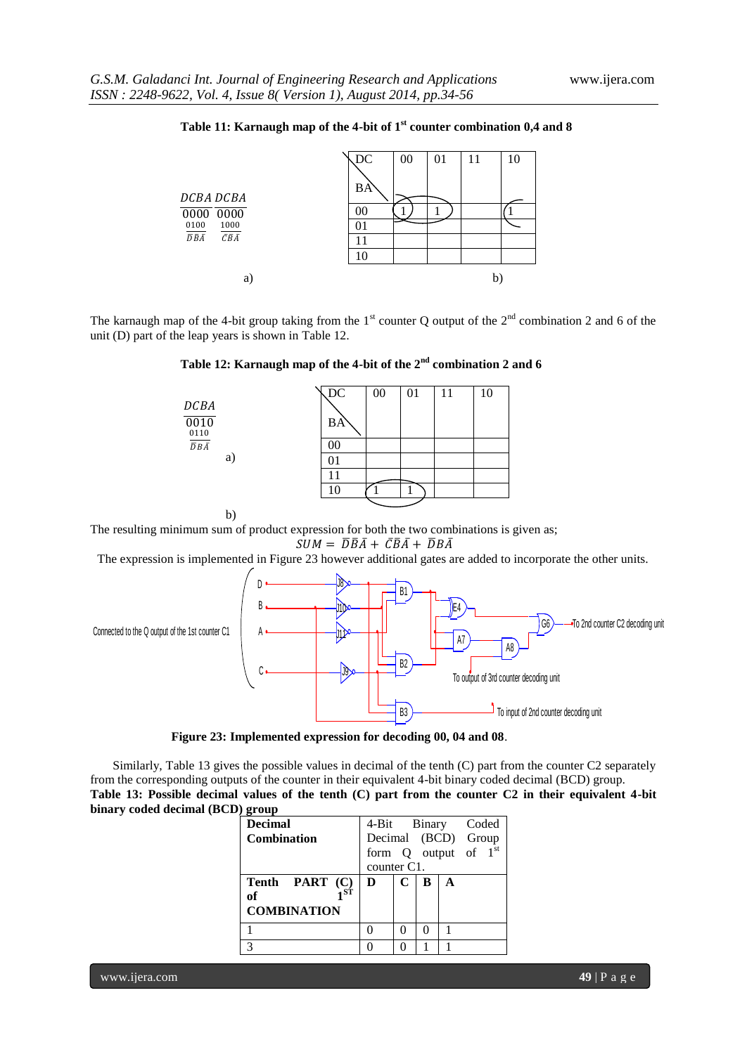

# **Table 11: Karnaugh map of the 4-bit of 1st counter combination 0,4 and 8**

The karnaugh map of the 4-bit group taking from the 1<sup>st</sup> counter Q output of the  $2<sup>nd</sup>$  combination 2 and 6 of the unit (D) part of the leap years is shown in Table 12.

**Table 12: Karnaugh map of the 4-bit of the 2nd combination 2 and 6**

|                  | $\sqrt{DC}$ | 00 | 01 | 11 | 10 |
|------------------|-------------|----|----|----|----|
| DCBA             |             |    |    |    |    |
| 0010<br>0110     | BA          |    |    |    |    |
| $\overline{DBA}$ | 00          |    |    |    |    |
| a)               | 01          |    |    |    |    |
|                  | 11          |    |    |    |    |
|                  | 10          |    |    |    |    |
|                  |             |    |    |    |    |

b)

The resulting minimum sum of product expression for both the two combinations is given as;

$$
SUM = \overline{D}\overline{B}\overline{A} + \overline{C}\overline{B}\overline{A} + \overline{D}B\overline{A}
$$

The expression is implemented in Figure 23 however additional gates are added to incorporate the other units.



**Figure 23: Implemented expression for decoding 00, 04 and 08**.

Similarly, Table 13 gives the possible values in decimal of the tenth (C) part from the counter C2 separately from the corresponding outputs of the counter in their equivalent 4-bit binary coded decimal (BCD) group. **Table 13: Possible decimal values of the tenth (C) part from the counter C2 in their equivalent 4-bit binary coded decimal (BCD) group**

| <b>Decimal</b>     | 4-Bit Binary Coded       |   |   |   |  |
|--------------------|--------------------------|---|---|---|--|
| <b>Combination</b> | Decimal (BCD) Group      |   |   |   |  |
|                    | form $Q$ output of $1st$ |   |   |   |  |
|                    | counter C1.              |   |   |   |  |
| Tenth PART (C)     | D                        | C | В | A |  |
| - ST<br>of         |                          |   |   |   |  |
| <b>COMBINATION</b> |                          |   |   |   |  |
|                    |                          |   |   |   |  |
|                    |                          |   |   |   |  |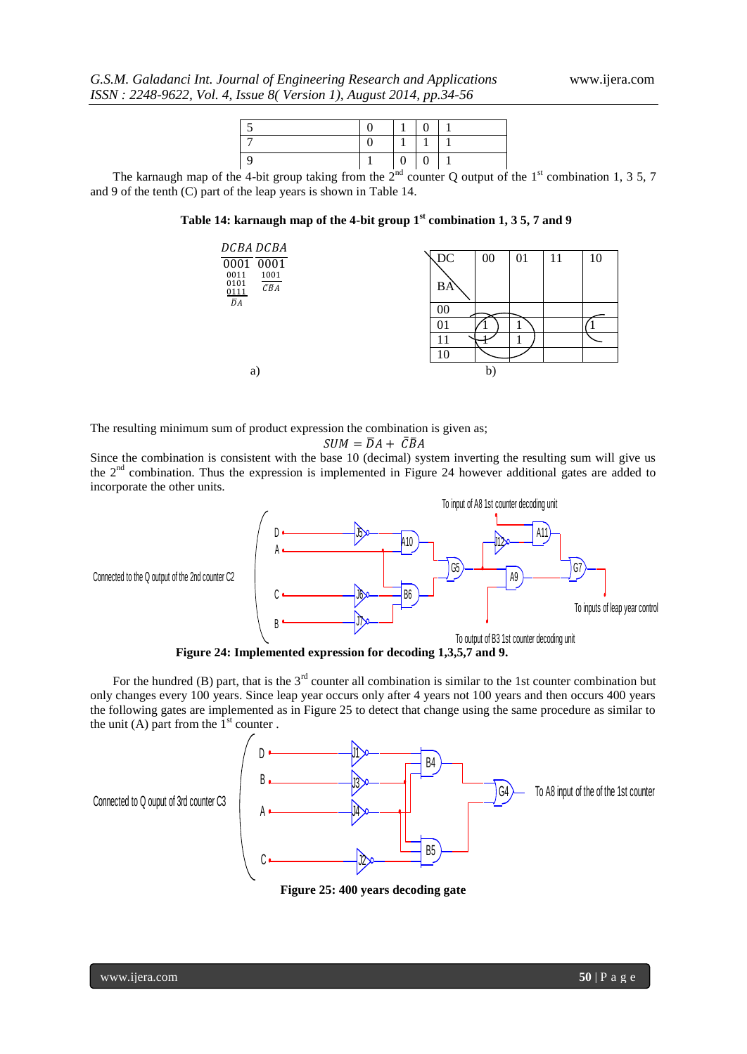|  | $\Omega$ |  |
|--|----------|--|
|  |          |  |
|  |          |  |

The karnaugh map of the 4-bit group taking from the  $2<sup>nd</sup>$  counter Q output of the 1<sup>st</sup> combination 1, 3 5, 7 and 9 of the tenth (C) part of the leap years is shown in Table 14.

**Table 14: karnaugh map of the 4-bit group 1st combination 1, 3 5, 7 and 9**



The resulting minimum sum of product expression the combination is given as;

$$
SUM = \overline{D}A + \overline{C}\overline{B}A
$$

Since the combination is consistent with the base 10 (decimal) system inverting the resulting sum will give us the 2nd combination. Thus the expression is implemented in Figure 24 however additional gates are added to incorporate the other units.



For the hundred (B) part, that is the  $3<sup>rd</sup>$  counter all combination is similar to the 1st counter combination but only changes every 100 years. Since leap year occurs only after 4 years not 100 years and then occurs 400 years the following gates are implemented as in Figure 25 to detect that change using the same procedure as similar to the unit (A) part from the  $1<sup>st</sup>$  counter.



**Figure 25: 400 years decoding gate**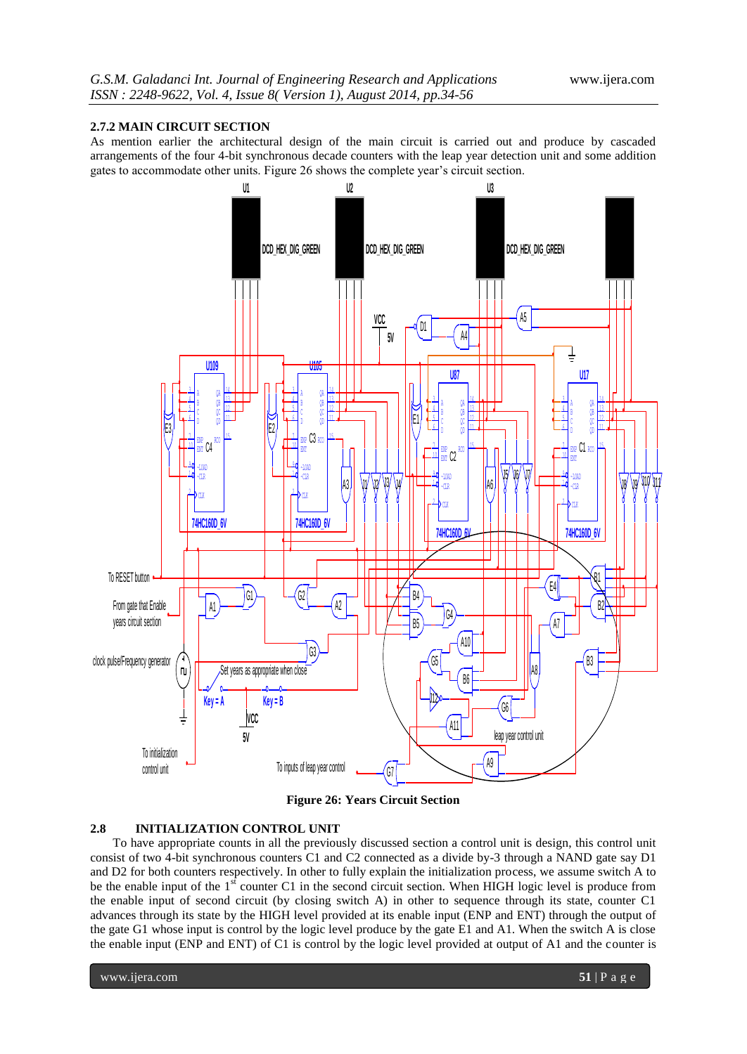## **2.7.2 MAIN CIRCUIT SECTION**

As mention earlier the architectural design of the main circuit is carried out and produce by cascaded arrangements of the four 4-bit synchronous decade counters with the leap year detection unit and some addition gates to accommodate other units. Figure 26 shows the complete year's circuit section.



**Figure 26: Years Circuit Section**

## **2.8 INITIALIZATION CONTROL UNIT**

To have appropriate counts in all the previously discussed section a control unit is design, this control unit consist of two 4-bit synchronous counters C1 and C2 connected as a divide by-3 through a NAND gate say D1 and D2 for both counters respectively. In other to fully explain the initialization process, we assume switch A to be the enable input of the 1<sup>st</sup> counter C1 in the second circuit section. When HIGH logic level is produce from the enable input of second circuit (by closing switch A) in other to sequence through its state, counter C1 advances through its state by the HIGH level provided at its enable input (ENP and ENT) through the output of the gate G1 whose input is control by the logic level produce by the gate E1 and A1. When the switch A is close the enable input (ENP and ENT) of C1 is control by the logic level provided at output of A1 and the counter is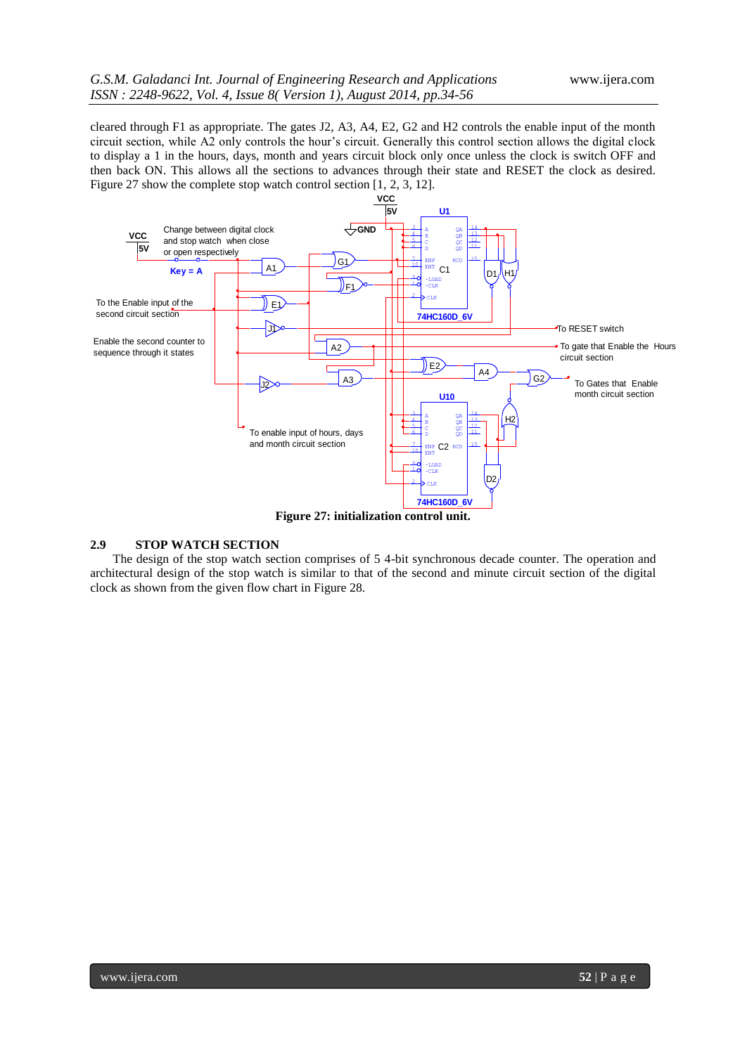cleared through F1 as appropriate. The gates J2, A3, A4, E2, G2 and H2 controls the enable input of the month circuit section, while A2 only controls the hour's circuit. Generally this control section allows the digital clock to display a 1 in the hours, days, month and years circuit block only once unless the clock is switch OFF and then back ON. This allows all the sections to advances through their state and RESET the clock as desired. Figure 27 show the complete stop watch control section [1, 2, 3, 12].



#### **2.9 STOP WATCH SECTION**

The design of the stop watch section comprises of 5 4-bit synchronous decade counter. The operation and architectural design of the stop watch is similar to that of the second and minute circuit section of the digital clock as shown from the given flow chart in Figure 28.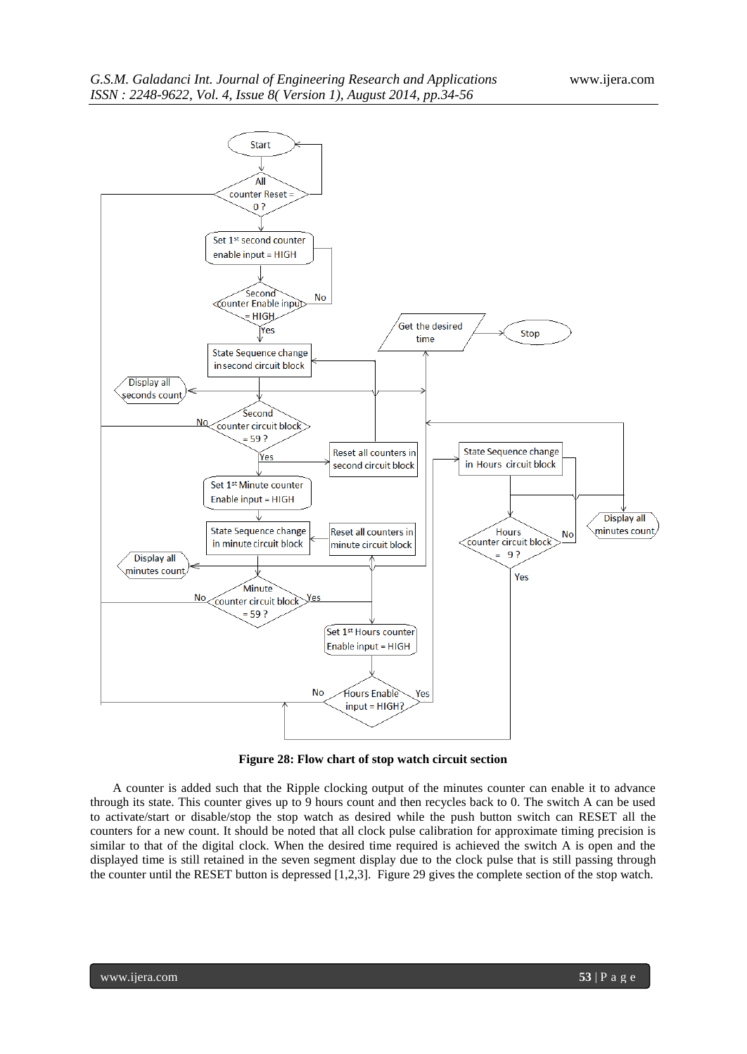

**Figure 28: Flow chart of stop watch circuit section**

A counter is added such that the Ripple clocking output of the minutes counter can enable it to advance through its state. This counter gives up to 9 hours count and then recycles back to 0. The switch A can be used to activate/start or disable/stop the stop watch as desired while the push button switch can RESET all the counters for a new count. It should be noted that all clock pulse calibration for approximate timing precision is similar to that of the digital clock. When the desired time required is achieved the switch A is open and the displayed time is still retained in the seven segment display due to the clock pulse that is still passing through the counter until the RESET button is depressed [1,2,3]. Figure 29 gives the complete section of the stop watch.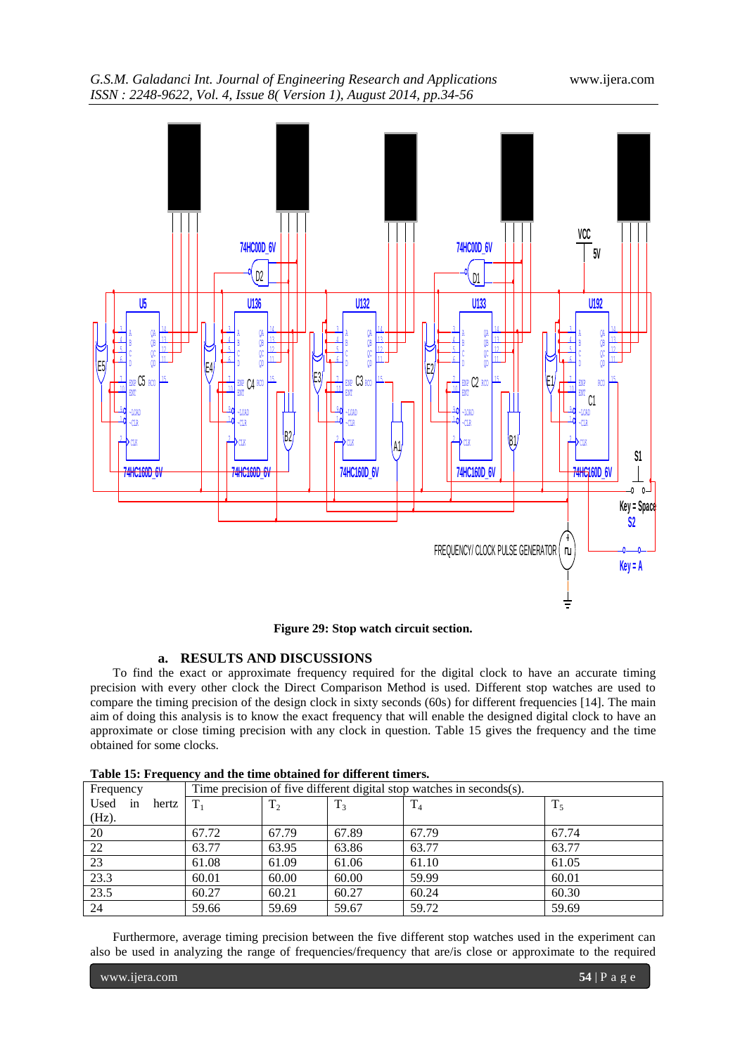# *G.S.M. Galadanci Int. Journal of Engineering Research and Applications* www.ijera.com *ISSN : 2248-9622, Vol. 4, Issue 8( Version 1), August 2014, pp.34-56*



**Figure 29: Stop watch circuit section.**

## **a. RESULTS AND DISCUSSIONS**

To find the exact or approximate frequency required for the digital clock to have an accurate timing precision with every other clock the Direct Comparison Method is used. Different stop watches are used to compare the timing precision of the design clock in sixty seconds (60s) for different frequencies [14]. The main aim of doing this analysis is to know the exact frequency that will enable the designed digital clock to have an approximate or close timing precision with any clock in question. Table 15 gives the frequency and the time obtained for some clocks.

| Frequency        |         |         |                | Time precision of five different digital stop watches in seconds(s). |       |
|------------------|---------|---------|----------------|----------------------------------------------------------------------|-------|
| Used in<br>hertz | $T_{1}$ | $T_{2}$ | T <sub>3</sub> | $T_4$                                                                | $T_5$ |
| $(Hz)$ .         |         |         |                |                                                                      |       |
| 20               | 67.72   | 67.79   | 67.89          | 67.79                                                                | 67.74 |
| 22               | 63.77   | 63.95   | 63.86          | 63.77                                                                | 63.77 |
| 23               | 61.08   | 61.09   | 61.06          | 61.10                                                                | 61.05 |
| 23.3             | 60.01   | 60.00   | 60.00          | 59.99                                                                | 60.01 |
| 23.5             | 60.27   | 60.21   | 60.27          | 60.24                                                                | 60.30 |
| 24               | 59.66   | 59.69   | 59.67          | 59.72                                                                | 59.69 |

Furthermore, average timing precision between the five different stop watches used in the experiment can also be used in analyzing the range of frequencies/frequency that are/is close or approximate to the required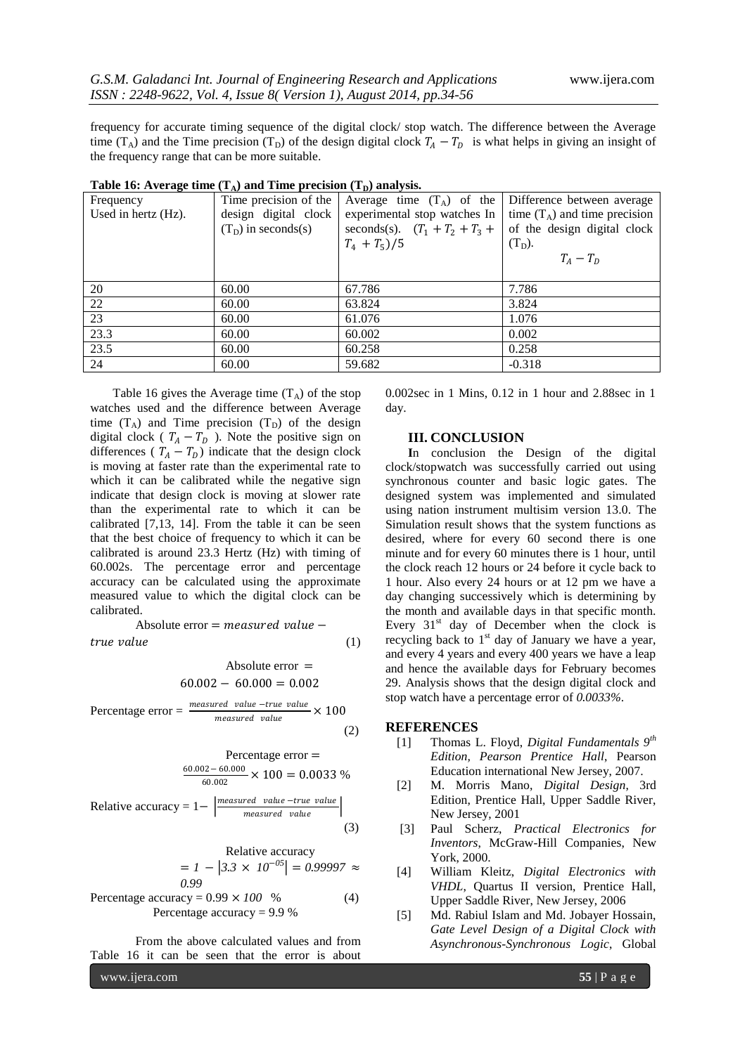frequency for accurate timing sequence of the digital clock/ stop watch. The difference between the Average time (T<sub>A</sub>) and the Time precision (T<sub>D</sub>) of the design digital clock  $T_A - T_D$  is what helps in giving an insight of the frequency range that can be more suitable.

| -                   |                       |                                  |                                 |
|---------------------|-----------------------|----------------------------------|---------------------------------|
| Frequency           | Time precision of the | Average time $(T_A)$ of the      | Difference between average      |
| Used in hertz (Hz). | design digital clock  | experimental stop watches In     | time $(T_A)$ and time precision |
|                     | $(TD)$ in seconds(s)  | seconds(s). $(T_1 + T_2 + T_3 +$ | of the design digital clock     |
|                     |                       | $T_4 + T_5)/5$                   | $(T_D)$ .                       |
|                     |                       |                                  | $T_A-T_D$                       |
|                     |                       |                                  |                                 |
| 20                  | 60.00                 | 67.786                           | 7.786                           |
| 22                  | 60.00                 | 63.824                           | 3.824                           |
| 23                  | 60.00                 | 61.076                           | 1.076                           |
| 23.3                | 60.00                 | 60.002                           | 0.002                           |
| 23.5                | 60.00                 | 60.258                           | 0.258                           |
| 24                  | 60.00                 | 59.682                           | $-0.318$                        |
|                     |                       |                                  |                                 |

| Table 16: Average time $(T_A)$ and Time precision $(T_D)$ analysis. |
|---------------------------------------------------------------------|
|---------------------------------------------------------------------|

Table 16 gives the Average time  $(T_A)$  of the stop watches used and the difference between Average time  $(T_A)$  and Time precision  $(T_D)$  of the design digital clock (  $T_A - T_D$  ). Note the positive sign on differences ( $T_A - T_D$ ) indicate that the design clock is moving at faster rate than the experimental rate to which it can be calibrated while the negative sign indicate that design clock is moving at slower rate than the experimental rate to which it can be calibrated [7,13, 14]. From the table it can be seen that the best choice of frequency to which it can be calibrated is around 23.3 Hertz (Hz) with timing of 60.002s. The percentage error and percentage accuracy can be calculated using the approximate measured value to which the digital clock can be calibrated.

Absolute error = − (1)

Absolute error = 
$$
60.002 - 60.000 = 0.002
$$

Percentage error = 
$$
\frac{measured \ value - true \ value}{measured \ value} \times 100
$$
 (2)

Percentage error =  
\n
$$
\frac{60.002 - 60.000}{60.002} \times 100 = 0.0033 %
$$
\nRelative accuracy = 1 - 
$$
\left| \frac{\text{measured value} - \text{true value}}{\text{measured value}} \right|
$$

Relative accuracy  
= 
$$
I - |3.3 \times 10^{-05}| = 0.99997 \approx 0.99
$$

(3)

Percentage accuracy = 
$$
0.99 \times 100\%
$$
 (4)  
Percentage accuracy =  $9.9\%$ 

From the above calculated values and from Table 16 it can be seen that the error is about 0.002sec in 1 Mins, 0.12 in 1 hour and 2.88sec in 1 day.

## **III. CONCLUSION**

**I**n conclusion the Design of the digital clock/stopwatch was successfully carried out using synchronous counter and basic logic gates. The designed system was implemented and simulated using nation instrument multisim version 13.0. The Simulation result shows that the system functions as desired, where for every 60 second there is one minute and for every 60 minutes there is 1 hour, until the clock reach 12 hours or 24 before it cycle back to 1 hour. Also every 24 hours or at 12 pm we have a day changing successively which is determining by the month and available days in that specific month. Every  $31<sup>st</sup>$  day of December when the clock is recycling back to  $1<sup>st</sup>$  day of January we have a year, and every 4 years and every 400 years we have a leap and hence the available days for February becomes 29. Analysis shows that the design digital clock and stop watch have a percentage error of *0*.*0033%*.

#### **REFERENCES**

- [1] Thomas L. Floyd, *Digital Fundamentals 9th Edition, Pearson Prentice Hall*, Pearson Education international New Jersey, 2007.
- [2] M. Morris Mano, *Digital Design*, 3rd Edition, Prentice Hall, Upper Saddle River, New Jersey, 2001
- [3] Paul Scherz, *Practical Electronics for Inventors*, McGraw-Hill Companies, New York, 2000.
- [4] William Kleitz, *Digital Electronics with VHDL*, Quartus II version, Prentice Hall, Upper Saddle River, New Jersey, 2006
- [5] Md. Rabiul Islam and Md. Jobayer Hossain, *Gate Level Design of a Digital Clock with Asynchronous-Synchronous Logic*, Global